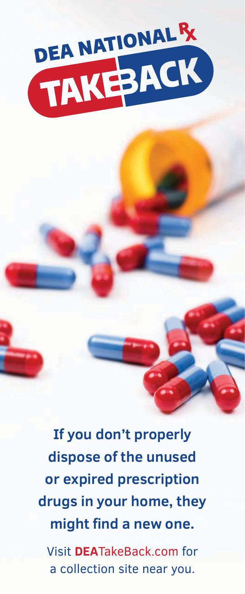

**If you don't properly dispose of the unused or expired prescription drugs in your home, they might find a new one.** 

Visit **DEA**TakeBack.com for a collection site near you.